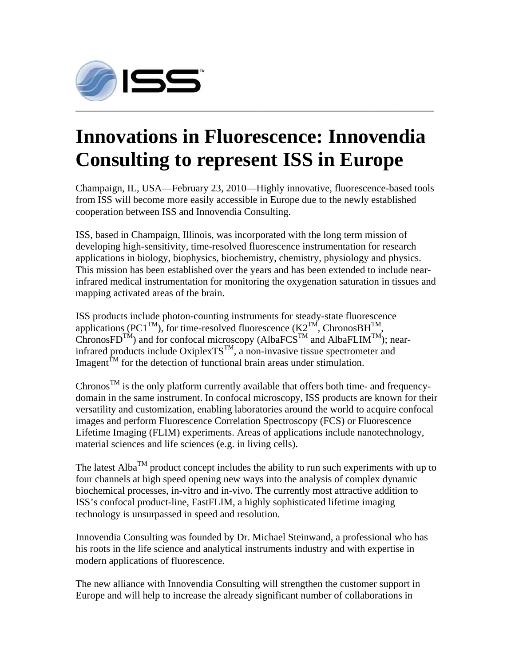

## **Innovations in Fluorescence: Innovendia Consulting to represent ISS in Europe**

Champaign, IL, USA—February 23, 2010—Highly innovative, fluorescence-based tools from ISS will become more easily accessible in Europe due to the newly established cooperation between ISS and Innovendia Consulting.

ISS, based in Champaign, Illinois, was incorporated with the long term mission of developing high-sensitivity, time-resolved fluorescence instrumentation for research applications in biology, biophysics, biochemistry, chemistry, physiology and physics. This mission has been established over the years and has been extended to include nearinfrared medical instrumentation for monitoring the oxygenation saturation in tissues and mapping activated areas of the brain.

ISS products include photon-counting instruments for steady-state fluorescence applications (PC1<sup>TM</sup>), for time-resolved fluorescence (K2<sup>TM</sup>, ChronosBH<sup>TM</sup>,  $\widehat{\text{ChronosFD}}^{\text{TM}}$ ) and for confocal microscopy (AlbaFCS<sup>TM</sup> and AlbaFLIM<sup>TM</sup>); nearinfrared products include  $OxiplexTS^{TM}$ , a non-invasive tissue spectrometer and Imagent<sup> $\hat{T}$ M</sup> for the detection of functional brain areas under stimulation.

Chronos<sup>TM</sup> is the only platform currently available that offers both time- and frequencydomain in the same instrument. In confocal microscopy, ISS products are known for their versatility and customization, enabling laboratories around the world to acquire confocal images and perform Fluorescence Correlation Spectroscopy (FCS) or Fluorescence Lifetime Imaging (FLIM) experiments. Areas of applications include nanotechnology, material sciences and life sciences (e.g. in living cells).

The latest Alba<sup>TM</sup> product concept includes the ability to run such experiments with up to four channels at high speed opening new ways into the analysis of complex dynamic biochemical processes, in-vitro and in-vivo. The currently most attractive addition to ISS's confocal product-line, FastFLIM, a highly sophisticated lifetime imaging technology is unsurpassed in speed and resolution.

Innovendia Consulting was founded by Dr. Michael Steinwand, a professional who has his roots in the life science and analytical instruments industry and with expertise in modern applications of fluorescence.

The new alliance with Innovendia Consulting will strengthen the customer support in Europe and will help to increase the already significant number of collaborations in